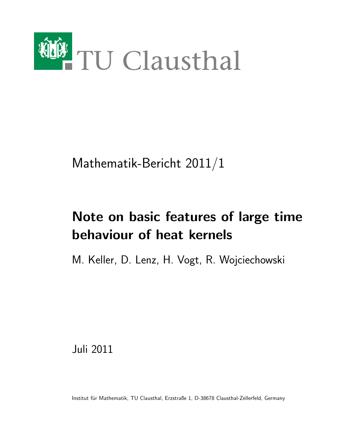

Mathematik-Bericht 2011/1

# Note on basic features of large time behaviour of heat kernels

M. Keller, D. Lenz, H. Vogt, R. Wojciechowski

Juli 2011

Institut für Mathematik, TU Clausthal, Erzstraße 1, D-38678 Clausthal-Zellerfeld, Germany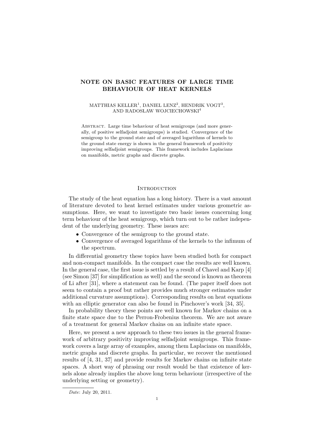# NOTE ON BASIC FEATURES OF LARGE TIME BEHAVIOUR OF HEAT KERNELS

#### MATTHIAS KELLER<sup>1</sup>, DANIEL LENZ<sup>2</sup>, HENDRIK VOGT<sup>3</sup>, AND RADOSLAW WOJCIECHOWSKI<sup>4</sup>

ABSTRACT. Large time behaviour of heat semigroups (and more generally, of positive selfadjoint semigroups) is studied. Convergence of the semigroup to the ground state and of averaged logarithms of kernels to the ground state energy is shown in the general framework of positivity improving selfadjoint semigroups. This framework includes Laplacians on manifolds, metric graphs and discrete graphs.

## **INTRODUCTION**

The study of the heat equation has a long history. There is a vast amount of literature devoted to heat kernel estimates under various geometric assumptions. Here, we want to investigate two basic issues concerning long term behaviour of the heat semigroup, which turn out to be rather independent of the underlying geometry. These issues are:

- Convergence of the semigroup to the ground state.
- Convergence of averaged logarithms of the kernels to the infimum of the spectrum.

In differential geometry these topics have been studied both for compact and non-compact manifolds. In the compact case the results are well known. In the general case, the first issue is settled by a result of Chavel and Karp [4] (see Simon [37] for simplification as well) and the second is known as theorem of Li after [31], where a statement can be found. (The paper itself does not seem to contain a proof but rather provides much stronger estimates under additional curvature assumptions). Corresponding results on heat equations with an elliptic generator can also be found in Pinchover's work [34, 35].

In probability theory these points are well known for Markov chains on a finite state space due to the Perron-Frobenius theorem. We are not aware of a treatment for general Markov chains on an infinite state space.

Here, we present a new approach to these two issues in the general framework of arbitrary positivity improving selfadjoint semigroups. This framework covers a large array of examples, among them Laplacians on manifolds, metric graphs and discrete graphs. In particular, we recover the mentioned results of [4, 31, 37] and provide results for Markov chains on infinite state spaces. A short way of phrasing our result would be that existence of kernels alone already implies the above long term behaviour (irrespective of the underlying setting or geometry).

Date: July 20, 2011.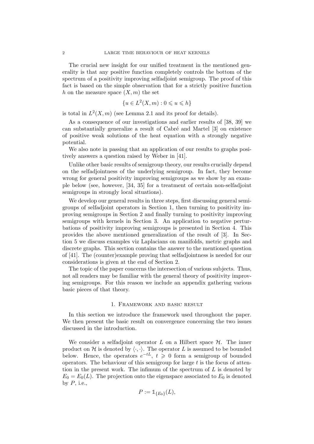The crucial new insight for our unified treatment in the mentioned generality is that any positive function completely controls the bottom of the spectrum of a positivity improving selfadjoint semigroup. The proof of this fact is based on the simple observation that for a strictly positive function h on the measure space  $(X, m)$  the set

$$
\{u \in L^2(X, m) : 0 \leqslant u \leqslant h\}
$$

is total in  $L^2(X, m)$  (see Lemma 2.1 and its proof for details).

As a consequence of our investigations and earlier results of [38, 39] we can substantially generalize a result of Cabré and Martel [3] on existence of positive weak solutions of the heat equation with a strongly negative potential.

We also note in passing that an application of our results to graphs positively answers a question raised by Weber in [41].

Unlike other basic results of semigroup theory, our results crucially depend on the selfadjointness of the underlying semigroup. In fact, they become wrong for general positivity improving semigroups as we show by an example below (see, however, [34, 35] for a treatment of certain non-selfadjoint semigroups in strongly local situations).

We develop our general results in three steps, first discussing general semigroups of selfadjoint operators in Section 1, then turning to positivity improving semigroups in Section 2 and finally turning to positivity improving semigroups with kernels in Section 3. An application to negative perturbations of positivity improving semigroups is presented in Section 4. This provides the above mentioned generalization of the result of [3]. In Section 5 we discuss examples viz Laplacians on manifolds, metric graphs and discrete graphs. This section contains the answer to the mentioned question of [41]. The (counter)example proving that selfadjointness is needed for our considerations is given at the end of Section 2.

The topic of the paper concerns the intersection of various subjects. Thus, not all readers may be familiar with the general theory of positivity improving semigroups. For this reason we include an appendix gathering various basic pieces of that theory.

#### 1. Framework and basic result

In this section we introduce the framework used throughout the paper. We then present the basic result on convergence concerning the two issues discussed in the introduction.

We consider a selfadjoint operator  $L$  on a Hilbert space  $H$ . The inner product on H is denoted by  $\langle \cdot, \cdot \rangle$ . The operator L is assumed to be bounded below. Hence, the operators  $e^{-tL}$ ,  $t \geq 0$  form a semigroup of bounded operators. The behaviour of this semigroup for large  $t$  is the focus of attention in the present work. The infimum of the spectrum of  $L$  is denoted by  $E_0 = E_0(L)$ . The projection onto the eigenspace associated to  $E_0$  is denoted by  $P$ , i.e.,

$$
P:=\mathbb{1}_{\{E_0\}}(L),
$$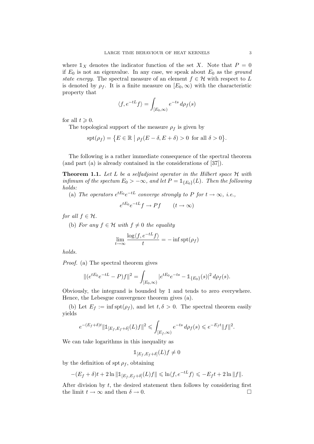where  $\mathbb{1}_X$  denotes the indicator function of the set X. Note that  $P = 0$ if  $E_0$  is not an eigenvalue. In any case, we speak about  $E_0$  as the ground state energy. The spectral measure of an element  $f \in \mathcal{H}$  with respect to L is denoted by  $\rho_f$ . It is a finite measure on  $[E_0,\infty)$  with the characteristic property that

$$
\langle f, e^{-tL} f \rangle = \int_{[E_0, \infty)} e^{-ts} d\rho_f(s)
$$

for all  $t \geqslant 0$ .

The topological support of the measure  $\rho_f$  is given by

$$
\operatorname{spt}(\rho_f) = \{ E \in \mathbb{R} \mid \rho_f(E - \delta, E + \delta) > 0 \text{ for all } \delta > 0 \}.
$$

The following is a rather immediate consequence of the spectral theorem (and part (a) is already contained in the considerations of [37]).

**Theorem 1.1.** Let L be a selfadjoint operator in the Hilbert space  $H$  with infimum of the spectum  $E_0 > -\infty$ , and let  $P = \mathbb{1}_{\{E_0\}}(L)$ . Then the following holds:

(a) The operators  $e^{tE_0}e^{-tL}$  converge strongly to P for  $t \to \infty$ , i.e.,

$$
e^{tE_0}e^{-tL}f \to Pf \qquad (t \to \infty)
$$

for all  $f \in \mathcal{H}$ .

(b) For any  $f \in \mathcal{H}$  with  $f \neq 0$  the equality

$$
\lim_{t \to \infty} \frac{\log \langle f, e^{-tL} f \rangle}{t} = -\inf \operatorname{spt}(\rho_f)
$$

holds.

Proof. (a) The spectral theorem gives

$$
\|(e^{tE_0}e^{-tL}-P)f\|^2=\int_{[E_0,\infty)}|e^{tE_0}e^{-ts}-\mathbb{1}_{\{E_0\}}(s)|^2\,d\rho_f(s).
$$

Obviously, the integrand is bounded by 1 and tends to zero everywhere. Hence, the Lebesgue convergence theorem gives (a).

(b) Let  $E_f := \inf \operatorname{spt}(\rho_f)$ , and let  $t, \delta > 0$ . The spectral theorem easily yields

$$
e^{-(E_f+\delta)t} \|\mathbb{1}_{[E_f, E_f+\delta]}(L)f\|^2 \leq \int_{[E_f,\infty)} e^{-ts} d\rho_f(s) \leq e^{-E_f t} \|f\|^2.
$$

We can take logarithms in this inequality as

$$
\mathbb{1}_{[E_f, E_f + \delta]}(L)f \neq 0
$$

by the definition of spt  $\rho_f$ , obtaining

$$
-(E_f+\delta)t+2\ln\|\mathbb{1}_{[E_f,E_f+\delta]}(L)f\|\leqslant\ln\langle f,e^{-tL}f\rangle\leqslant -E_f t+2\ln\|f\|.
$$

After division by  $t$ , the desired statement then follows by considering first the limit  $t \to \infty$  and then  $\delta \to 0$ .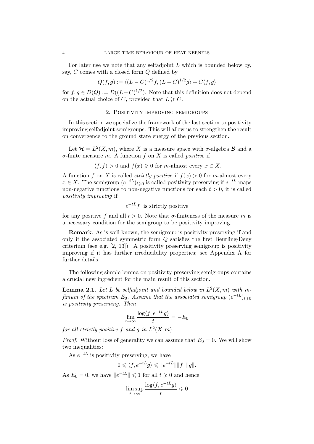For later use we note that any selfadjoint  $L$  which is bounded below by, say,  $C$  comes with a closed form  $Q$  defined by

$$
Q(f,g) := \langle (L-C)^{1/2}f, (L-C)^{1/2}g \rangle + C\langle f, g \rangle
$$

for  $f, g \in D(Q) := D((L-C)^{1/2})$ . Note that this definition does not depend on the actual choice of C, provided that  $L \geq C$ .

## 2. Positivity improving semigroups

In this section we specialize the framework of the last section to positivity improving selfadjoint semigroups. This will allow us to strengthen the result on convergence to the ground state energy of the previous section.

Let  $\mathcal{H} = L^2(X, m)$ , where X is a measure space with  $\sigma$ -algebra  $\mathcal{B}$  and a  $\sigma$ -finite measure m. A function f on X is called *positive* if

$$
\langle f, f \rangle > 0
$$
 and  $f(x) \ge 0$  for *m*-almost every  $x \in X$ .

A function f on X is called *strictly positive* if  $f(x) > 0$  for m-almost every  $x \in X$ . The semigroup  $(e^{-tL})_{t \geq 0}$  is called positivity preserving if  $e^{-tL}$  maps non-negative functions to non-negative functions for each  $t > 0$ , it is called positivity improving if

$$
e^{-tL}f
$$
 is strictly positive

for any positive f and all  $t > 0$ . Note that  $\sigma$ -finiteness of the measure m is a necessary condition for the semigroup to be positivity improving.

Remark. As is well known, the semigroup is positivity preserving if and only if the associated symmetric form Q satisfies the first Beurling-Deny criterium (see e.g. [2, 13]). A positivity preserving semigroup is positivity improving if it has further irreducibility properties; see Appendix A for further details.

The following simple lemma on positivity preserving semigroups contains a crucial new ingredient for the main result of this section.

**Lemma 2.1.** Let L be selfadjoint and bounded below in  $L^2(X,m)$  with infimum of the spectrum  $E_0$ . Assume that the associated semigroup  $(e^{-tL})_{t\geqslant 0}$ is positivity preserving. Then

$$
\lim_{t \to \infty} \frac{\log \langle f, e^{-tL}g \rangle}{t} = -E_0
$$

for all strictly positive f and g in  $L^2(X, m)$ .

*Proof.* Without loss of generality we can assume that  $E_0 = 0$ . We will show two inequalities:

As  $e^{-tL}$  is positivity preserving, we have

$$
0 \leqslant \langle f, e^{-tL}g \rangle \leqslant \|e^{-tL}\| \|f\| \|g\|.
$$

As  $E_0 = 0$ , we have  $||e^{-tL}|| \leq 1$  for all  $t \geq 0$  and hence

$$
\limsup_{t \to \infty} \frac{\log \langle f, e^{-tL}g \rangle}{t} \le 0
$$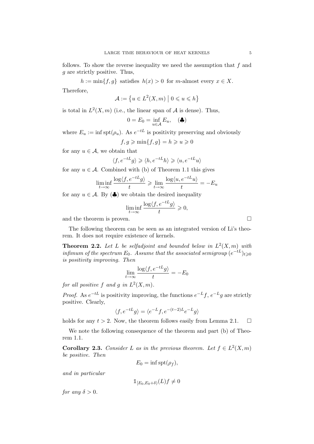follows. To show the reverse inequality we need the assumption that  $f$  and g are strictly positive. Thus,

 $h := \min\{f, g\}$  satisfies  $h(x) > 0$  for m-almost every  $x \in X$ .

Therefore,

$$
\mathcal{A}:=\left\{u\in L^2(X,m)\ \big|\ 0\leqslant u\leqslant h\right\}
$$

is total in  $L^2(X, m)$  (i.e., the linear span of A is dense). Thus,

$$
0 = E_0 = \inf_{u \in \mathcal{A}} E_u, \quad (\clubsuit)
$$

where  $E_u := \inf \text{spt}(\rho_u)$ . As  $e^{-tL}$  is positivity preserving and obviously  $f, a \geqslant \min\{f, a\} = h \geqslant u \geqslant 0$ 

for any  $u \in \mathcal{A}$ , we obtain that

$$
\langle f, e^{-tL}g \rangle \ge \langle h, e^{-tL}h \rangle \ge \langle u, e^{-tL}u \rangle
$$

for any  $u \in \mathcal{A}$ . Combined with (b) of Theorem 1.1 this gives

$$
\liminf_{t \to \infty} \frac{\log \langle f, e^{-tL}g \rangle}{t} \ge \lim_{t \to \infty} \frac{\log \langle u, e^{-tL}u \rangle}{t} = -E_u
$$

for any  $u \in \mathcal{A}$ . By  $(\clubsuit)$  we obtain the desired inequality

$$
\liminf_{t \to \infty} \frac{\log \langle f, e^{-tL}g \rangle}{t} \geqslant 0,
$$

and the theorem is proven.

The following theorem can be seen as an integrated version of Li's theorem. It does not require existence of kernels.

**Theorem 2.2.** Let L be selfadjoint and bounded below in  $L^2(X, m)$  with infimum of the spectrum  $E_0$ . Assume that the associated semigroup  $(e^{-tL})_{t\geqslant 0}$ is positivity improving. Then

$$
\lim_{t \to \infty} \frac{\log \langle f, e^{-tL}g \rangle}{t} = -E_0
$$

for all positive f and g in  $L^2(X, m)$ .

*Proof.* As  $e^{-tL}$  is positivity improving, the functions  $e^{-L}f$ ,  $e^{-L}g$  are strictly positive. Clearly,

$$
\langle f, e^{-tL}g\rangle = \langle e^{-L}f, e^{-(t-2)L}e^{-L}g\rangle
$$

holds for any  $t > 2$ . Now, the theorem follows easily from Lemma 2.1.  $\Box$ 

We note the following consequence of the theorem and part (b) of Theorem 1.1.

**Corollary 2.3.** Consider L as in the previous theorem. Let  $f \in L^2(X,m)$ be positive. Then

$$
E_0 = \inf \operatorname{spt}(\rho_f),
$$

and in particular

for any  $\delta > 0$ .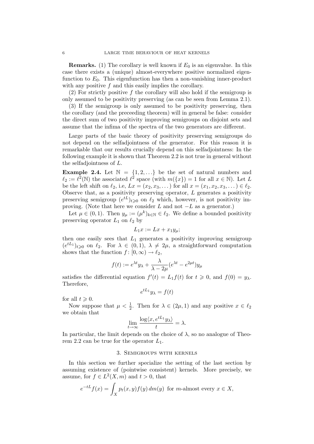**Remarks.** (1) The corollary is well known if  $E_0$  is an eigenvalue. In this case there exists a (unique) almost-everywhere positive normalized eigenfunction to  $E_0$ . This eigenfunction has then a non-vanishing inner-product with any positive  $f$  and this easily implies the corollary.

(2) For strictly positive f the corollary will also hold if the semigroup is only assumed to be positivity preserving (as can be seen from Lemma 2.1).

(3) If the semigroup is only assumed to be positivity preserving, then the corollary (and the preceeding theorem) will in general be false: consider the direct sum of two positivity improving semigroups on disjoint sets and assume that the infima of the spectra of the two generators are different.

Large parts of the basic theory of positivity preserving semigroups do not depend on the selfadjointness of the generator. For this reason it is remarkable that our results crucially depend on this selfadjointness: In the following example it is shown that Theorem 2.2 is not true in general without the selfadjointness of L.

**Example 2.4.** Let  $\mathbb{N} = \{1, 2, ...\}$  be the set of natural numbers and  $\ell_2 := \ell^2(\mathbb{N})$  the associated  $\ell^2$  space (with  $m({x}) = 1$  for all  $x \in \mathbb{N}$ ). Let L be the left shift on  $\ell_2$ , i.e,  $Lx = (x_2, x_3, ...)$  for all  $x = (x_1, x_2, x_3, ...) \in \ell_2$ . Observe that, as a positivity preserving operator,  $L$  generates a positivity preserving semigroup  $(e^{tL})_{t\geqslant0}$  on  $\ell_2$  which, however, is not positivity improving. (Note that here we consider L and not  $-L$  as a generator.)

Let  $\mu \in (0,1)$ . Then  $y_{\mu} := (\mu^k)_{k \in \mathbb{N}} \in \ell_2$ . We define a bounded positivity preserving operator  $L_1$  on  $\ell_2$  by

$$
L_1x := Lx + x_1y_\mu;
$$

then one easily sees that  $L_1$  generates a positivity improving semigroup  $(e^{tL_1})_{t\geqslant0}$  on  $\ell_2$ . For  $\lambda \in (0,1), \lambda \neq 2\mu$ , a straightforward computation shows that the function  $f : [0, \infty) \to \ell_2$ ,

$$
f(t) := e^{\lambda t} y_{\lambda} + \frac{\lambda}{\lambda - 2\mu} (e^{\lambda t} - e^{2\mu t}) y_{\mu}
$$

satisfies the differential equation  $f'(t) = L_1 f(t)$  for  $t \ge 0$ , and  $f(0) = y_{\lambda}$ . Therefore,

$$
e^{tL_1}y_\lambda = f(t)
$$

for all  $t \geq 0$ .

Now suppose that  $\mu < \frac{1}{2}$ . Then for  $\lambda \in (2\mu, 1)$  and any positive  $x \in \ell_2$ we obtain that

$$
\lim_{t \to \infty} \frac{\log \langle x, e^{tL_1} y_\lambda \rangle}{t} = \lambda.
$$

In particular, the limit depends on the choice of  $\lambda$ , so no analogue of Theorem 2.2 can be true for the operator  $L_1$ .

#### 3. Semigroups with kernels

In this section we further specialize the setting of the last section by assuming existence of (pointwise consistent) kernels. More precisely, we assume, for  $f \in L^2(X, m)$  and  $t > 0$ , that

$$
e^{-tL}f(x) = \int_X p_t(x, y)f(y) \, dm(y) \text{ for } m\text{-almost every } x \in X,
$$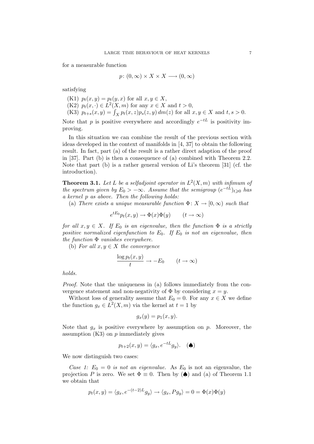for a measurable function

$$
p\colon (0,\infty)\times X\times X\longrightarrow (0,\infty)
$$

satisfying

(K1) 
$$
p_t(x, y) = p_t(y, x)
$$
 for all  $x, y \in X$ ,  
(K2)  $p_t(x, \cdot) \in L^2(X, m)$  for any  $x \in X$  and  $t > 0$ ,  
(K3)  $p_{t+s}(x, y) = \int_X p_t(x, z)p_s(z, y) dm(z)$  for all  $x, y \in X$  and  $t, s > 0$ .

Note that p is positive everywhere and accordingly  $e^{-tL}$  is positivity improving.

In this situation we can combine the result of the previous section with ideas developed in the context of manifolds in [4, 37] to obtain the following result. In fact, part (a) of the result is a rather direct adaption of the proof in [37]. Part (b) is then a consequence of (a) combined with Theorem 2.2. Note that part (b) is a rather general version of Li's theorem [31] (cf. the introduction).

**Theorem 3.1.** Let L be a selfadjoint operator in  $L^2(X, m)$  with infimum of the spectrum given by  $E_0 > -\infty$ . Assume that the semigroup  $(e^{-tL})_{t \geq 0}$  has a kernel p as above. Then the following holds:

(a) There exists a unique measurable function  $\Phi: X \to [0, \infty)$  such that

$$
e^{tE_0}p_t(x,y) \to \Phi(x)\Phi(y) \qquad (t \to \infty)
$$

for all  $x, y \in X$ . If  $E_0$  is an eigenvalue, then the function  $\Phi$  is a strictly positive normalized eigenfunction to  $E_0$ . If  $E_0$  is not an eigenvalue, then the function  $\Phi$  vanishes everywhere.

(b) For all  $x, y \in X$  the convergence

$$
\frac{\log p_t(x, y)}{t} \to -E_0 \qquad (t \to \infty)
$$

holds.

Proof. Note that the uniqueness in (a) follows immediately from the convergence statement and non-negativity of  $\Phi$  by considering  $x = y$ .

Without loss of generality assume that  $E_0 = 0$ . For any  $x \in X$  we define the function  $g_x \in L^2(X, m)$  via the kernel at  $t = 1$  by

$$
g_x(y) = p_1(x, y).
$$

Note that  $g_x$  is positive everywhere by assumption on p. Moreover, the assumption  $(K3)$  on  $p$  immediately gives

$$
p_{t+2}(x,y) = \langle g_x, e^{-tL} g_y \rangle. \quad (\spadesuit)
$$

We now distinguish two cases:

Case 1:  $E_0 = 0$  is not an eigenvalue. As  $E_0$  is not an eigenvalue, the projection P is zero. We set  $\Phi \equiv 0$ . Then by  $(\spadesuit)$  and (a) of Theorem 1.1 we obtain that

$$
p_t(x, y) = \langle g_x, e^{-(t-2)L} g_y \rangle \to \langle g_x, P g_y \rangle = 0 = \Phi(x)\Phi(y)
$$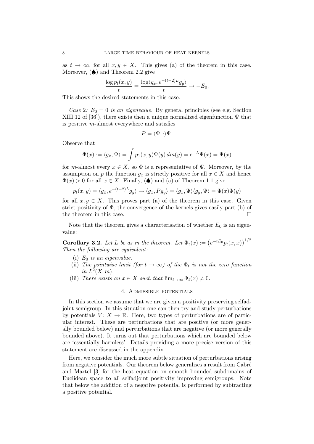as  $t \to \infty$ , for all  $x, y \in X$ . This gives (a) of the theorem in this case. Moreover,  $\left( \spadesuit \right)$  and Theorem 2.2 give

$$
\frac{\log p_t(x,y)}{t} = \frac{\log \langle g_x, e^{-(t-2)L} g_y \rangle}{t} \to -E_0.
$$

This shows the desired statements in this case.

Case 2:  $E_0 = 0$  is an eigenvalue. By general principles (see e.g. Section XIII.12 of [36]), there exists then a unique normalized eigenfunction  $\Psi$  that is positive m-almost everywhere and satisfies

$$
P = \langle \Psi, \cdot \rangle \Psi.
$$

Observe that

$$
\Phi(x) := \langle g_x, \Psi \rangle = \int p_1(x, y) \Psi(y) \, dm(y) = e^{-L} \Psi(x) = \Psi(x)
$$

for m-almost every  $x \in X$ , so  $\Phi$  is a representative of  $\Psi$ . Moreover, by the assumption on p the function  $g_x$  is strictly positive for all  $x \in X$  and hence  $\Phi(x) > 0$  for all  $x \in X$ . Finally,  $(\spadesuit)$  and (a) of Theorem 1.1 give

$$
p_t(x,y) = \langle g_x, e^{-(t-2)L} g_y \rangle \to \langle g_x, P g_y \rangle = \langle g_x, \Psi \rangle \langle g_y, \Psi \rangle = \Phi(x)\Phi(y)
$$

for all  $x, y \in X$ . This proves part (a) of the theorem in this case. Given strict positivity of  $\Phi$ , the convergence of the kernels gives easily part (b) of the theorem in this case.  $\Box$ 

Note that the theorem gives a characterisation of whether  $E_0$  is an eigenvalue:

**Corollary 3.2.** Let L be as in the theorem. Let  $\Phi_t(x) := (e^{-tE_0} p_t(x,x))^{1/2}$ Then the following are equivalent:

- (i)  $E_0$  is an eigenvalue.
- (ii) The pointwise limit (for  $t \to \infty$ ) of the  $\Phi_t$  is not the zero function in  $L^2(X, m)$ .
- (iii) There exists an  $x \in X$  such that  $\lim_{t\to\infty} \Phi_t(x) \neq 0$ .

## 4. Admissible potentials

In this section we assume that we are given a positivity preserving selfadjoint semigroup. In this situation one can then try and study perturbations by potentials  $V: X \to \mathbb{R}$ . Here, two types of perturbations are of particular interest. These are perturbations that are positive (or more generally bounded below) and perturbations that are negative (or more generally bounded above). It turns out that perturbations which are bounded below are 'essentially harmless'. Details providing a more precise version of this statement are discussed in the appendix.

Here, we consider the much more subtle situation of perturbations arising from negative potentials. Our theorem below generalises a result from Cabré and Martel [3] for the heat equation on smooth bounded subdomains of Euclidean space to all selfadjoint positivity improving semigroups. Note that below the addition of a negative potential is performed by subtracting a positive potential.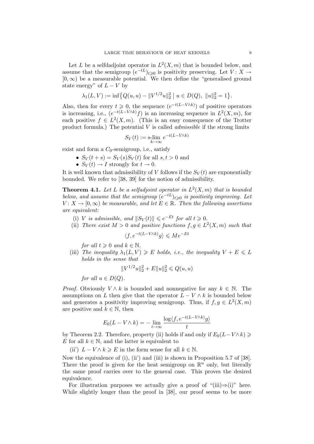Let L be a selfdadjoint operator in  $L^2(X, m)$  that is bounded below, and assume that the semigroup  $(e^{-tL})_{t\geqslant0}$  is positivity preserving. Let  $V: X \to$  $[0, \infty)$  be a measurable potential. We then define the "generalised ground" state energy" of  $L - V$  by

$$
\lambda_1(L, V) := \inf \big\{ Q(u, u) - ||V^{1/2}u||_2^2 \mid u \in D(Q), ||u||_2^2 = 1 \big\}.
$$

Also, then for every  $t \geq 0$ , the sequence  $(e^{-t(L-V\wedge k)})$  of positive operators is increasing, i.e.,  $(e^{-t(L-V\wedge k)}f)$  is an increasing sequence in  $L^2(X,m)$ , for each positive  $f \in L^2(X,m)$ . (This is an easy consequence of the Trotter product formula.) The potential  $V$  is called *admissible* if the strong limits

$$
S_V(t) := \operatorname*{s-lim}_{k \to \infty} e^{-t(L - V \wedge k)}
$$

exist and form a  $C_0$ -semigroup, i.e., satisfy

- $S_V(t + s) = S_V(s)S_V(t)$  for all  $s, t > 0$  and
- $S_V(t) \rightarrow I$  strongly for  $t \rightarrow 0$ .

It is well known that admissibility of V follows if the  $S_V(t)$  are exponentially bounded. We refer to [38, 39] for the notion of admissibility.

**Theorem 4.1.** Let L be a selfadjoint operator in  $L^2(X, m)$  that is bounded below, and assume that the semigroup  $(e^{-tL})_{t\geqslant 0}$  is positivity improving. Let  $V: X \to [0, \infty)$  be measurable, and let  $E \in \mathbb{R}$ . Then the following assertions are equivalent:

- (i) V is admissible, and  $||S_V(t)|| \le e^{-Et}$  for all  $t \ge 0$ .
- (ii) There exist  $M > 0$  and positive functions  $f, g \in L^2(X, m)$  such that

$$
\langle f, e^{-t(L-V \wedge k)}g \rangle \leqslant Me^{-Et}
$$

for all  $t \geqslant 0$  and  $k \in \mathbb{N}$ .

(iii) The inequality  $\lambda_1(L, V) \geq E$  holds, i.e., the inequality  $V + E \leq L$ holds in the sense that

$$
||V^{1/2}u||_2^2 + E||u||_2^2 \leq Q(u, u)
$$

for all  $u \in D(Q)$ .

*Proof.* Obviously  $V \wedge k$  is bounded and nonnegative for any  $k \in \mathbb{N}$ . The assumptions on L then give that the operator  $L - V \wedge k$  is bounded below and generates a positivity improving semigroup. Thus, if  $f, g \in L^2(X, m)$ are positive and  $k \in \mathbb{N}$ , then

$$
E_0(L - V \wedge k) = -\lim_{t \to \infty} \frac{\log \langle f, e^{-t(L - V \wedge k)}g \rangle}{t}
$$

by Theorem 2.2. Therefore, property (ii) holds if and only if  $E_0(L-V\wedge k) \geq$ E for all  $k \in \mathbb{N}$ , and the latter is equivalent to

(ii)  $L - V \wedge k \geqslant E$  in the form sense for all  $k \in \mathbb{N}$ .

Now the equivalence of (i), (ii) and (iii) is shown in Proposition 5.7 of [38]. There the proof is given for the heat semigroup on  $\mathbb{R}^n$  only, but literally the same proof carries over to the general case. This proves the desired equivalence.

For illustration purposes we actually give a proof of "(iii)⇒(i)" here. While slightly longer than the proof in [38], our proof seems to be more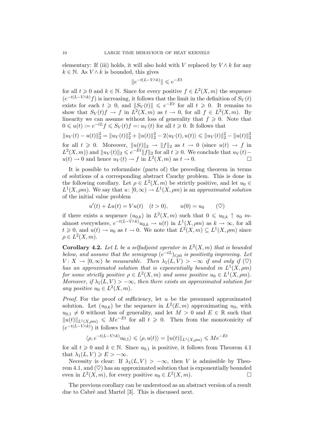elementary: If (iii) holds, it will also hold with V replaced by  $V \wedge k$  for any  $k \in \mathbb{N}$ . As  $V \wedge k$  is bounded, this gives

$$
\|e^{-t(L-V\wedge k)}\|\leqslant e^{-Et}
$$

for all  $t \geq 0$  and  $k \in \mathbb{N}$ . Since for every positive  $f \in L^2(X, m)$  the sequence  $(e^{-t(L-V\wedge k)}f)$  is increasing, it follows that the limit in the definition of  $S_V(t)$ exists for each  $t \geq 0$ , and  $||S_V(t)|| \leq e^{-Et}$  for all  $t \geq 0$ . It remains to show that  $S_V(t)f \to f$  in  $L^2(X,m)$  as  $t \to 0$ , for all  $f \in L^2(X,m)$ . By linearity we can assume without loss of generality that  $f \geq 0$ . Note that  $0 \leq u(t) := e^{-tL} f \leqslant S_V(t) f =: u_V(t)$  for all  $t \geqslant 0$ . It follows that

 $||u_V(t) - u(t)||_2^2 = ||u_V(t)||_2^2 + ||u(t)||_2^2 - 2\langle u_V(t), u(t) \rangle \le ||u_V(t)||_2^2 - ||u(t)||_2^2$ for all  $t \geq 0$ . Moreover,  $||u(t)||_2 \rightarrow ||f||_2$  as  $t \rightarrow 0$  (since  $u(t) \rightarrow f$  in  $L^2(X,m)$  and  $||u_V(t)||_2 \leqslant e^{-Et}||f||_2$  for all  $t \geqslant 0$ . We conclude that  $u_V(t)$  –  $u(t) \to 0$  and hence  $u_V(t) \to f$  in  $L^2(X, m)$  as  $t \to 0$ .

It is possible to reformulate (parts of) the preceding theorem in terms of solutions of a corresponding abstract Cauchy problem. This is done in the following corollary. Let  $\rho \in L^2(X,m)$  be strictly positive, and let  $u_0 \in$  $L^1(X, \rho m)$ . We say that  $u: [0, \infty) \to L^1(X, \rho m)$  is an approximated solution of the initial value problem

$$
u'(t) + Lu(t) = Vu(t) \quad (t > 0), \qquad u(0) = u_0 \qquad (\heartsuit)
$$

if there exists a sequence  $(u_{0,k})$  in  $L^2(X,m)$  such that  $0 \leq u_{0,k} \uparrow u_0$  malmost everywhere,  $e^{-t(L-V\wedge k)}u_{0,k} \to u(t)$  in  $L^1(X,\rho m)$  as  $k \to \infty$ , for all  $t \geq 0$ , and  $u(t) \to u_0$  as  $t \to 0$ . We note that  $L^2(X,m) \subseteq L^1(X,\rho m)$  since  $\rho \in L^2(X,m).$ 

**Corollary 4.2.** Let L be a selfadjoint operator in  $L^2(X, m)$  that is bounded below, and assume that the semigroup  $(e^{-tL})_{t\geqslant 0}$  is positivity improving. Let  $V: X \to [0, \infty)$  be measurable. Then  $\lambda_1(L, V) > -\infty$  if and only if  $(\heartsuit)$ has an approximated solution that is exponentially bounded in  $L^1(X, \rho m)$ for some strictly positive  $\rho \in L^2(X,m)$  and some positive  $u_0 \in L^1(X,\rho m)$ . Moreover, if  $\lambda_1(L, V) > -\infty$ , then there exists an approximated solution for any positive  $u_0 \in L^2(X, m)$ .

*Proof.* For the proof of sufficiency, let  $u$  be the presumed approximated solution. Let  $(u_{0,k})$  be the sequence in  $L^2(E, m)$  approximating  $u_0$ , with  $u_{0,1} \neq 0$  without loss of generality, and let  $M > 0$  and  $E \in \mathbb{R}$  such that  $||u(t)||_{L^1(X, \text{om})} \leqslant Me^{-Et}$  for all  $t \geqslant 0$ . Then from the monotonicity of  $(e^{-t(L-V\wedge k)})$  it follows that

$$
\langle \rho, e^{-t(L-V\wedge k)}u_{0,1}\rangle\leqslant \langle \rho, u(t)\rangle=\|u(t)\|_{L^1(X,\rho m)}\leqslant Me^{-Et}
$$

for all  $t \geq 0$  and  $k \in \mathbb{N}$ . Since  $u_{0,1}$  is positive, it follows from Theorem 4.1 that  $\lambda_1(L, V) \geqslant E > -\infty$ .

Necessity is clear: If  $\lambda_1(L, V) > -\infty$ , then V is admissible by Theorem 4.1, and  $(\heartsuit)$  has an approximated solution that is exponentially bounded even in  $L^2(X, m)$ , for every positive  $u_0 \in L^2(X, m)$ .

The previous corollary can be understood as an abstract version of a result due to Cabré and Martel [3]. This is discussed next.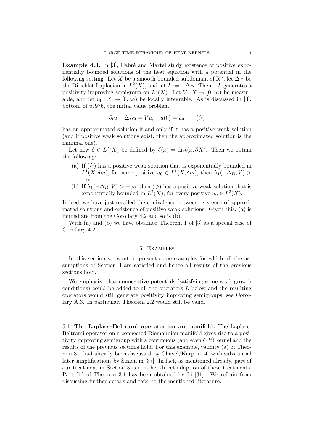Example 4.3. In [3], Cabré and Martel study existence of positive exponentially bounded solutions of the heat equation with a potential in the following setting: Let X be a smooth bounded subdomain of  $\mathbb{R}^n$ , let  $\Delta_D$  be the Dirichlet Laplacian in  $L^2(X)$ , and let  $L := -\Delta_D$ . Then  $-L$  generates a positivity improving semigroup on  $L^2(X)$ . Let  $V: X \to [0, \infty)$  be measurable, and let  $u_0: X \to [0, \infty)$  be locally integrable. As is discussed in [3], bottom of p. 976, the initial value problem

$$
\partial_t u - \Delta_D u = Vu, \quad u(0) = u_0 \qquad (\diamondsuit)
$$

has an approximated solution if and only if it has a positive weak solution (and if positive weak solutions exist, then the approximated solution is the minimal one).

Let now  $\delta \in L^2(X)$  be defined by  $\delta(x) = \text{dist}(x, \partial X)$ . Then we obtain the following:

- (a) If  $(\Diamond)$  has a positive weak solution that is exponentially bounded in  $L^1(X, \delta m)$ , for some positive  $u_0 \in L^1(X, \delta m)$ , then  $\lambda_1(-\Delta_D, V)$ −∞.
- (b) If  $\lambda_1(-\Delta_D, V) > -\infty$ , then  $(\diamondsuit)$  has a positive weak solution that is exponentially bounded in  $L^2(X)$ , for every positive  $u_0 \in L^2(X)$ .

Indeed, we have just recalled the equivalence between existence of approximated solutions and existence of positive weak solutions. Given this, (a) is immediate from the Corollary 4.2 and so is (b).

With (a) and (b) we have obtained Theorem 1 of [3] as a special case of Corollary 4.2.

#### 5. Examples

In this section we want to present some examples for which all the assumptions of Section 3 are satisfied and hence all results of the previous sections hold.

We emphasize that nonnegative potentials (satisfying some weak growth conditions) could be added to all the operators L below and the resulting operators would still generate positivity improving semigroups, see Corollary A.3. In particular, Theorem 2.2 would still be valid.

5.1. The Laplace-Beltrami operator on an manifold. The Laplace-Beltrami operator on a connected Riemannian manifold gives rise to a positivity improving semigroup with a continuous (and even  $C^{\infty}$ ) kernel and the results of the previous sections hold. For this example, validity (a) of Theorem 3.1 had already been discussed by Chavel/Karp in [4] with substantial later simplifications by Simon in [37]. In fact, as mentioned already, part of our treatment in Section 3 is a rather direct adaption of these treatments. Part (b) of Theorem 3.1 has been obtained by Li [31]. We refrain from discussing further details and refer to the mentioned literature.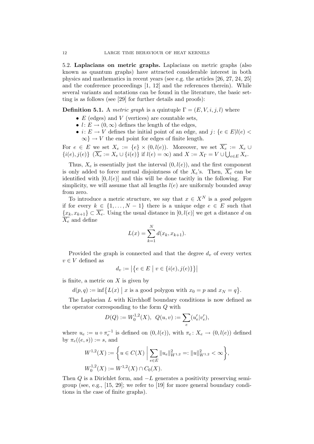5.2. Laplacians on metric graphs. Laplacians on metric graphs (also known as quantum graphs) have attracted considerable interest in both physics and mathematics in recent years (see e.g. the articles [26, 27, 24, 25] and the conference proceedings [1, 12] and the references therein). While several variants and notations can be found in the literature, the basic setting is as follows (see [29] for further details and proofs):

**Definition 5.1.** A metric graph is a quintuple  $\Gamma = (E, V, i, j, l)$  where

- $E$  (edges) and  $V$  (vertices) are countable sets,
- $l: E \to (0, \infty)$  defines the length of the edges,
- $i: E \to V$  defines the initial point of an edge, and  $j: \{e \in E | l(e) \leq \}$  $\infty$ }  $\rightarrow$  *V* the end point for edges of finite length.

For  $e \in E$  we set  $X_e := \{e\} \times (0, l(e))$ . Moreover, we set  $\overline{X_e} := X_e \cup$  $\{i(e), j(e)\}\ \ (\overline{X_e} := X_e \cup \{i(e)\}\ \text{if}\ l(e) = \infty) \ \text{and}\ X := X_\Gamma = V \cup \bigcup_{e \in E} X_e.$ 

Thus,  $X_e$  is essentially just the interval  $(0, l(e))$ , and the first component is only added to force mutual disjointness of the  $X_e$ 's. Then,  $\overline{X_e}$  can be identified with  $[0, l(e)]$  and this will be done tacitly in the following. For simplicity, we will assume that all lengths  $l(e)$  are uniformly bounded away from zero.

To introduce a metric structure, we say that  $x \in X^N$  is a good polygon if for every  $k \in \{1, ..., N-1\}$  there is a unique edge  $e \in E$  such that  ${x_k, x_{k+1}} \subset \overline{X_e}$ . Using the usual distance in  $[0, l(e)]$  we get a distance d on  $\overline{X_e}$  and define

$$
L(x) = \sum_{k=1}^{N} d(x_k, x_{k+1}).
$$

Provided the graph is connected and that the degree  $d_v$  of every vertex  $v \in V$  defined as

$$
d_v:=\big|\big\{e\in E\ \big|\ v\in\{i(e),j(e)\}\big\}\big|
$$

is finite, a metric on  $X$  is given by

 $d(p,q) := \inf \{ L(x) \mid x \text{ is a good polygon with } x_0 = p \text{ and } x_N = q \}.$ 

The Laplacian L with Kirchhoff boundary conditions is now defined as the operator corresponding to the form Q with

$$
D(Q) := W_0^{1,2}(X), \ Q(u, v) := \sum_e (u'_e | v'_e),
$$

where  $u_e := u \circ \pi_e^{-1}$  is defined on  $(0, l(e))$ , with  $\pi_e : X_e \to (0, l(e))$  defined by  $\pi_e((e, s)) := s$ , and

$$
W^{1,2}(X) := \left\{ u \in C(X) \mid \sum_{e \in E} ||u_e||_{W^{1,2}}^2 =: ||u||_{W^{1,2}}^2 < \infty \right\},
$$
  

$$
W_0^{1,2}(X) := W^{1,2}(X) \cap C_0(X).
$$

Then  $Q$  is a Dirichlet form, and  $-L$  generates a positivity preserving semigroup (see, e.g., [15, 29]; we refer to [19] for more general boundary conditions in the case of finite graphs).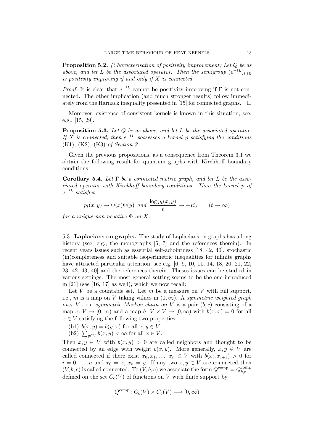**Proposition 5.2.** (Characterisation of positivity improvement) Let  $Q$  be as above, and let L be the associated operator. Then the semigroup  $(e^{-tL})_{t\geq0}$ is positivity improving if and only if  $X$  is connected.

*Proof.* It is clear that  $e^{-tL}$  cannot be positivity improving if  $\Gamma$  is not connected. The other implication (and much stronger results) follow immediately from the Harnack inequality presented in [15] for connected graphs.  $\Box$ 

Moreover, existence of consistent kernels is known in this situation; see, e.g., [15, 29].

Proposition 5.3. Let Q be as above, and let L be the associated operator. If X is connected, then  $e^{-tL}$  possesses a kernel p satisfying the conditions (K1), (K2), (K3) of Section 3.

Given the previous propositions, as a consequence from Theorem 3.1 we obtain the following result for quantum graphs with Kirchhoff boundary conditions.

Corollary 5.4. Let  $\Gamma$  be a connected metric graph, and let L be the associated operator with Kirchhoff boundary conditions. Then the kernel p of  $e^{-tL}$  satisfies

$$
p_t(x, y) \to \Phi(x)\Phi(y)
$$
 and  $\frac{\log p_t(x, y)}{t} \to -E_0$   $(t \to \infty)$ 

for a unique non-negative  $\Phi$  on X.

5.3. Laplacians on graphs. The study of Laplacians on graphs has a long history (see, e.g., the monographs [5, 7] and the references therein). In recent years issues such as essential self-adjointness [18, 42, 40], stochastic (in)completeness and suitable isoperimetric inequalities for infinite graphs have attracted particular attention, see e.g. [6, 9, 10, 11, 14, 18, 20, 21, 22, 23, 42, 43, 40] and the references therein. Theses issues can be studied in various settings. The most general setting seems to be the one introduced in  $[21]$  (see  $[16, 17]$  as well), which we now recall:

Let V be a countable set. Let  $m$  be a measure on V with full support, i.e., m is a map on V taking values in  $(0, \infty)$ . A symmetric weighted graph over V or a symmetric Markov chain on V is a pair  $(b, c)$  consisting of a map  $c: V \to [0, \infty)$  and a map  $b: V \times V \to [0, \infty)$  with  $b(x, x) = 0$  for all  $x \in V$  satisfying the following two properties:

- (b1)  $b(x, y) = b(y, x)$  for all  $x, y \in V$ .
- (b2)  $\sum_{y \in V} b(x, y) < \infty$  for all  $x \in V$ .

Then  $x, y \in V$  with  $b(x, y) > 0$  are called neighbors and thought to be connected by an edge with weight  $b(x, y)$ . More generally,  $x, y \in V$  are called connected if there exist  $x_0, x_1, \ldots, x_n \in V$  with  $b(x_i, x_{i+1}) > 0$  for  $i = 0, \ldots, n$  and  $x_0 = x, x_n = y$ . If any two  $x, y \in V$  are connected then  $(V, b, c)$  is called connected. To  $(V, b, c)$  we associate the form  $Q^{\text{comp}} = Q_{bc}^{\text{comp}}$ b,c defined on the set  $C_c(V)$  of functions on V with finite support by

$$
Q^{\text{comp}}\colon C_{\text{c}}(V)\times C_{\text{c}}(V)\longrightarrow [0,\infty)
$$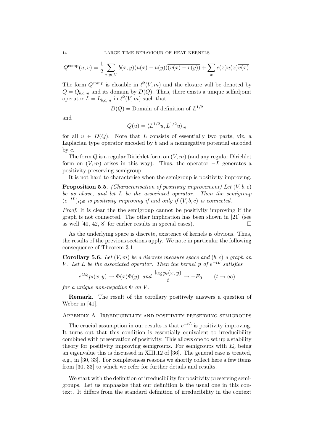$$
Q^{\text{comp}}(u,v) = \frac{1}{2} \sum_{x,y \in V} b(x,y)(u(x) - u(y))\overline{(v(x) - v(y))} + \sum_{x} c(x)u(x)\overline{v(x)}.
$$

The form  $Q^{\text{comp}}$  is closable in  $\ell^2(V, m)$  and the closure will be denoted by  $Q = Q_{b,c,m}$  and its domain by  $D(Q)$ . Thus, there exists a unique selfadjoint operator  $L = L_{b,c,m}$  in  $\ell^2(V, m)$  such that

 $D(Q) =$  Domain of definition of  $L^{1/2}$ 

and

$$
Q(u) = \langle L^{1/2}u, L^{1/2}u \rangle_m
$$

for all  $u \in D(Q)$ . Note that L consists of essentially two parts, viz, a Laplacian type operator encoded by b and a nonnegative potential encoded by c.

The form Q is a regular Dirichlet form on  $(V, m)$  (and any regular Dirichlet form on  $(V, m)$  arises in this way). Thus, the operator  $-L$  generates a positivity preserving semigroup.

It is not hard to characterise when the semigroup is positivity improving.

**Proposition 5.5.** (Characterisation of positivity improvement) Let  $(V, b, c)$ be as above, and let L be the associated operator. Then the semigroup  $(e^{-tL})_{t\geqslant 0}$  is positivity improving if and only if  $(V, b, c)$  is connected.

Proof. It is clear the the semigroup cannot be positivity improving if the graph is not connected. The other implication has been shown in [21] (see as well [40, 42, 8] for earlier results in special cases).  $\Box$ 

As the underlying space is discrete, existence of kernels is obvious. Thus, the results of the previous sections apply. We note in particular the following consequence of Theorem 3.1.

**Corollary 5.6.** Let  $(V, m)$  be a discrete measure space and  $(b, c)$  a graph on V. Let L be the associated operator. Then the kernel p of  $e^{-tL}$  satisfies

$$
e^{tE_0}p_t(x,y) \to \Phi(x)\Phi(y)
$$
 and  $\frac{\log p_t(x,y)}{t} \to -E_0$   $(t \to \infty)$ 

for a unique non-negative  $\Phi$  on V.

Remark. The result of the corollary positively answers a question of Weber in [41].

# Appendix A. Irreducibility and positivity preserving semigroups

The crucial assumption in our results is that  $e^{-tL}$  is positivity improving. It turns out that this condition is essentially equivalent to irreducibility combined with preservation of positivity. This allows one to set up a stability theory for positivity improving semigroups. For semigroups with  $E_0$  being an eigenvalue this is discussed in XIII.12 of [36]. The general case is treated, e.g., in [30, 33]. For completeness reasons we shortly collect here a few items from [30, 33] to which we refer for further details and results.

We start with the definition of irreducibility for positivity preserving semigroups. Let us emphasize that our definition is the usual one in this context. It differs from the standard definition of irreducibility in the context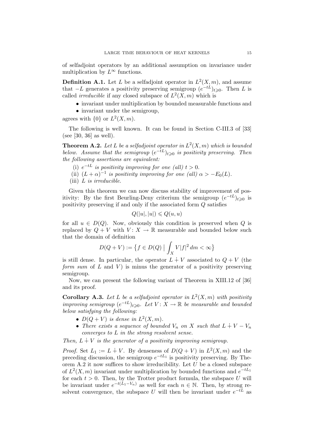of selfadjoint operators by an additional assumption on invariance under multiplication by  $L^{\infty}$  functions.

**Definition A.1.** Let L be a selfadjoint operator in  $L^2(X, m)$ , and assume that  $-L$  generates a positivity preserving semigroup  $(e^{-tL})_{t\geqslant 0}$ . Then L is called *irreducible* if any closed subspace of  $L^2(X, m)$  which is

• invariant under multiplication by bounded measurable functions and

• invariant under the semigroup, agrees with  $\{0\}$  or  $L^2(X, m)$ .

The following is well known. It can be found in Section C-III.3 of [33] (see [30, 36] as well).

**Theorem A.2.** Let L be a selfadjoint operator in  $L^2(X, m)$  which is bounded below. Assume that the semigroup  $(e^{-tL})_{t\geqslant 0}$  is positivity preserving. Then the following assertions are equivalent:

- (i)  $e^{-tL}$  is positivity improving for one (all)  $t > 0$ .
- (ii)  $(L+\alpha)^{-1}$  is positivity improving for one (all)  $\alpha > -E_0(L)$ .
- (iii)  $L$  is irreducible.

Given this theorem we can now discuss stability of improvement of positivity: By the first Beurling-Deny criterium the semigroup  $(e^{-tL})_{t\geqslant 0}$  is positivity preserving if and only if the associated form Q satisfies

$$
Q(|u|, |u|) \leq Q(u, u)
$$

for all  $u \in D(Q)$ . Now, obviously this condition is preserved when Q is replaced by  $Q + V$  with  $V: X \to \mathbb{R}$  measurable and bounded below such that the domain of definition

$$
D(Q + V) := \{ f \in D(Q) \mid \int_X V|f|^2 \, dm < \infty \}
$$

is still dense. In particular, the operator  $L + V$  associated to  $Q + V$  (the form sum of  $L$  and  $V$ ) is minus the generator of a positivity preserving semigroup.

Now, we can present the following variant of Theorem in XIII.12 of [36] and its proof.

**Corollary A.3.** Let L be a selfadjoint operator in  $L^2(X, m)$  with positivity improving semigroup  $(e^{-tL})_{t\geqslant 0}$ . Let  $V: X \to \mathbb{R}$  be measurable and bounded below satisfying the following:

- $D(Q + V)$  is dense in  $L^2(X, m)$ .
- There exists a sequence of bounded  $V_n$  on X such that  $L + V V_n$ converges to L in the strong resolvent sense.

Then,  $L + V$  is the generator of a positivity improving semigroup.

*Proof.* Set  $L_1 := L + V$ . By denseness of  $D(Q + V)$  in  $L^2(X, m)$  and the preceding discussion, the semigroup  $e^{-tL_1}$  is positivity preserving. By Theorem A.2 it now suffices to show irreducibility. Let  $U$  be a closed subspace of  $L^2(X, m)$  invariant under multiplication by bounded functions and  $e^{-tL_1}$ for each  $t > 0$ . Then, by the Trotter product formula, the subspace U will be invariant under  $e^{-t(L_1-V_n)}$  as well for each  $n \in \mathbb{N}$ . Then, by strong resolvent convergence, the subspace U will then be invariant under  $e^{-tL}$  as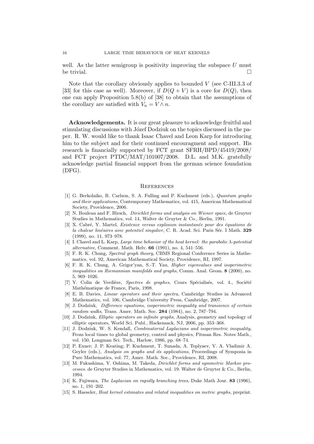well. As the latter semigroup is positivity improving the subspace  $U$  must be trivial.

Note that the corollary obviously applies to bounded  $V$  (see C-III.3.3 of [33] for this case as well). Moreover, if  $D(Q + V)$  is a core for  $D(Q)$ , then one can apply Proposition 5.8(b) of [38] to obtain that the assumptions of the corollary are satisfied with  $V_n = V \wedge n$ .

Acknowledgements. It is our great pleasure to acknowledge fruitful and stimulating discussions with Józef Dodziuk on the topics discussed in the paper. R. W. would like to thank Isaac Chavel and Leon Karp for introducing him to the subject and for their continued encouragment and support. His research is financially supported by FCT grant SFRH/BPD/45419/2008/ and FCT project PTDC/MAT/101007/2008. D.L. and M.K. gratefully acknowledge partial financial support from the german science foundation (DFG).

#### **REFERENCES**

- [1] G. Berkolaiko, R. Carlson, S. A. Fulling and P. Kuchment (eds.), Quantum graphs and their applications, Contemporary Mathematics, vol. 415, American Mathematical Society, Providence, 2006.
- [2] N. Bouleau and F. Hirsch, Dirichlet forms and analysis on Wiener space, de Gruyter Studies in Mathematics, vol. 14, Walter de Gruyter & Co., Berlin, 1991.
- [3] X. Cabré, Y. Martel, Existence versus explosion instantanée pour des équations de la chaleur linéaires avec potentiel singulier, C. R. Acad. Sci. Paris Sér. I Math. 329 (1999), no. 11, 973–978.
- [4] I. Chavel and L. Karp, Large time behavior of the heat kernel: the parabolic  $\lambda$ -potential alternative, Comment. Math. Helv. 66 (1991), no. 4, 541–556.
- [5] F. R. K. Chung, Spectral graph theory, CBMS Regional Conference Series in Mathematics, vol. 92, American Mathematical Society, Providence, RI, 1997.
- [6] F. R. K. Chung, A. Grigor'yan, S.-T. Yau, Higher eigenvalues and isoperimetric inequalities on Riemannian manifolds and graphs, Comm. Anal. Geom. 8 (2000), no. 5, 969–1026.
- [7] Y. Colin de Verdière, Spectres de graphes, Cours Spécialisés, vol. 4., Société Mathématique de France, Paris, 1998.
- [8] E. B. Davies, Linear operators and their spectra, Cambridge Studies in Advanced Mathematics, vol. 106, Cambridge University Press, Cambridge, 2007.
- [9] J. Dodziuk, Difference equations, isoperimetric inequality and transience of certain random walks, Trans. Amer. Math. Soc. 284 (1984), no. 2, 787–794.
- [10] J. Dodziuk, Elliptic operators on infinite graphs, Analysis, geometry and topology of elliptic operators, World Sci. Publ., Hackensack, NJ, 2006, pp. 353–368.
- [11] J. Dodziuk, W. S. Kendall, *Combinatorial Laplacians and isoperimetric inequality*, From local times to global geometry, control and physics, Pitman Res. Notes Math., vol. 150, Longman Sci. Tech., Harlow, 1986, pp. 68–74.
- [12] P. Exner; J. P. Keating; P. Kuchment, T. Sunada, A. Teplyaev, V. A. Vladimir A. Geyler (eds.), Analysis on graphs and its applications, Proceedings of Symposia in Pure Mathematics, vol. 77, Amer. Math. Soc., Providence, RI, 2008.
- [13] M. Fukushima, Y. Oshima, M. Takeda, Dirichlet forms and symmetric Markov processes. de Gruyter Studies in Mathematics, vol. 19. Walter de Gruyter & Co., Berlin, 1994.
- [14] K. Fujiwara, *The Laplacian on rapidly branching trees*, Duke Math Jour. **83** (1996). no. 1, 191–202.
- [15] S. Haeseler, Heat kernel estimates and related inequalities on metric graphs, preprint.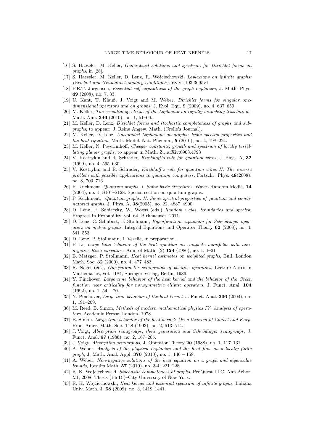- [16] S. Haeseler, M. Keller, Generalized solutions and spectrum for Dirichlet forms on graphs, in [28].
- [17] S. Haeseler, M. Keller, D. Lenz, R. Wojciechowski, Laplacians on infinite graphs: Dirichlet and Neumann boundary conditions, arXiv:1103.3695v1.
- [18] P.E.T. Jorgensen, *Essential self-adjointness of the graph-Laplacian*, J. Math. Phys. 49 (2008), no. 7, 33.
- [19] U. Kant, T. Klauß, J. Voigt and M. Weber, *Dirichlet forms for singular one*dimensional operators and on graphs, J. Evol. Equ. 9 (2009), no. 4, 637–659.
- [20] M. Keller, The essential spectrum of the Laplacian on rapidly branching tesselations, Math. Ann. 346 (2010), no. 1, 51–66.
- [21] M. Keller, D. Lenz, Dirichlet forms and stochastic completeness of graphs and subgraphs, to appear: J. Reine Angew. Math. (Crelle's Journal).
- [22] M. Keller, D. Lenz, Unbounded Laplacians on graphs: basic spectral properties and the heat equation, Math. Model. Nat. Phenom., 5 (2010), no. 4, 198–224.
- [23] M. Keller, N. Peyerimhoff, Cheeger constants, growth and spectrum of locally tessellating planar graphs, to appear in Math. Z., arXiv:0903.4793
- [24] V. Kostrykin and R. Schrader, Kirchhoff 's rule for quantum wires, J. Phys. A, 32 (1999), no. 4, 595–630.
- [25] V. Kostrykin and R. Schrader, Kirchhoff 's rule for quantum wires II. The inverse problem with possible applications to quantum computers, Fortschr. Phys. 48(2008), no. 8, 703–716.
- [26] P. Kuchment, Quantum graphs. I. Some basic structures, Waves Random Media, 14 (2004), no. 1, S107–S128. Special section on quantum graphs.
- [27] P. Kuchment, Quantum graphs. II. Some spectral properties of quantum and combinatorial graphs, J. Phys. A, 38(2005), no. 22, 4887–4900.
- [28] D. Lenz, F. Sobieczky, W. Woess (eds.) Random walks, boundaries and spectra, Progress in Probability, vol. 64, Birkhaeuser, 2011.
- [29] D. Lenz, C. Schubert, P. Stollmann, *Eigenfunction expansion for Schrödinger oper*ators on metric graphs, Integral Equations and Operator Theory 62 (2008), no. 4, 541–553.
- [30] D. Lenz, P. Stollmann, I. Veselic, in preparation.
- [31] P. Li, Large time behavior of the heat equation on complete manifolds with nonnegative Ricci curvature, Ann. of Math. (2) 124 (1986), no. 1, 1–21
- [32] B. Metzger, P. Stollmann, Heat kernel estimates on weighted graphs, Bull. London Math. Soc. 32 (2000), no. 4, 477–483.
- [33] R. Nagel (ed.), *One-parameter semigroups of positive operators*, Lecture Notes in Mathematics, vol. 1184, Springer-Verlag, Berlin, 1986.
- [34] Y. Pinchover, Large time behavior of the heat kernel and the behavior of the Green function near criticality for nonsymmetric elliptic operators, J. Funct. Anal. 104  $(1992)$ , no.  $1, 54 - 70$ .
- [35] Y. Pinchover, *Large time behavior of the heat kernel*, J. Funct. Anal. **206** (2004), no. 1, 191–209.
- [36] M. Reed, B. Simon, Methods of modern mathematical physics IV. Analysis of operators, Academic Presse, London, 1978.
- [37] B. Simon, Large time behavior of the heat kernel: On a theorem of Chavel and Karp, Proc. Amer. Math. Soc. 118 (1993), no. 2, 513–514.
- [38] J. Voigt, Absorption semigroups, their generators and Schrödinger semigroups, J. Funct. Anal. 67 (1986), no. 2, 167–205.
- [39] J. Voigt, Absorption semigroups, J. Operator Theory 20 (1988), no. 1, 117–131.
- [40] A. Weber, Analysis of the physical Laplacian and the heat flow on a locally finite *graph*, J. Math. Anal. Appl. **370** (2010), no. 1,  $146 - 158$ .
- [41] A. Weber, Non-negative solutions of the heat equation on a graph and eigenvalue bounds, Results Math. 57 (2010), no. 3-4, 221–228.
- [42] R. K. Wojciechowski, Stochastic completeness of graphs, ProQuest LLC, Ann Arbor, MI, 2008. Thesis (Ph.D.)–City University of New York.
- [43] R. K. Wojciechowski, Heat kernel and essential spectrum of infinite graphs, Indiana Univ. Math. J. 58 (2009), no. 3, 1419–1441.